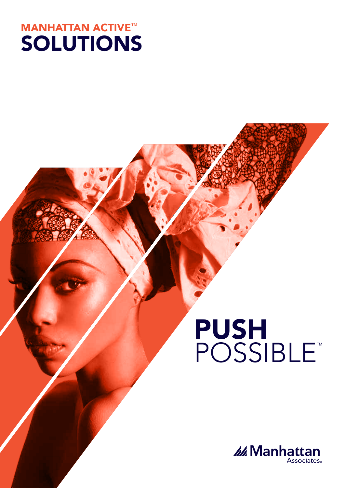

# PUSH<br>POSSIBLE

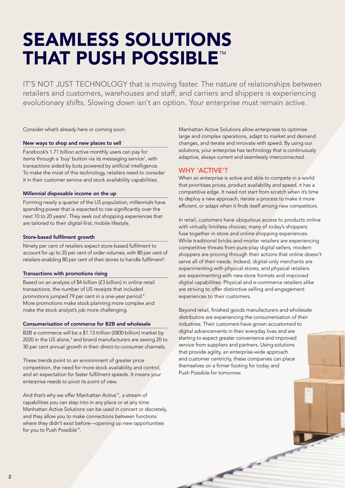# SEAMLESS SOLUTIONS THAT PUSH POSSIBLE™

IT'S NOT JUST TECHNOLOGY that is moving faster. The nature of relationships between retailers and customers, warehouses and staff, and carriers and shippers is experiencing evolutionary shifts. Slowing down isn't an option. Your enterprise must remain active.

Consider what's already here or coming soon:

#### New ways to shop and new places to sell

Facebook's 1.71 billion active monthly users can pay for items through a 'buy' button via its messaging service<sup>1</sup>, with transactions aided by bots powered by artificial intelligence. To make the most of this technology, retailers need to consider it in their customer service and stock availability capabilities.

#### Millennial disposable income on the up

Forming nearly a quarter of the US population, millennials have spending power that is expected to rise significantly over the next 10 to 20 years<sup>2</sup>. They seek out shopping experiences that are tailored to their digital-first, mobile lifestyle.

#### Store-based fulfilment growth

Ninety per cent of retailers expect store-based fulfilment to account for up to 35 per cent of order volumes, with 80 per cent of retailers enabling 80 per cent of their stores to handle fulfilment $3$ .

#### Transactions with promotions rising

Based on an analysis of \$4 billion (£3 billion) in online retail transactions, the number of US receipts that included promotions jumped 79 per cent in a one-year period.<sup>4</sup> More promotions make stock planning more complex and make the stock analyst's job more challenging.

#### Consumerisation of commerce for B2B and wholesale

B2B e-commerce will be a \$1.13 trillion (£800 billion) market by 2020 in the US alone,<sup>5</sup> and brand manufacturers are seeing 20 to 30 per cent annual growth in their direct-to-consumer channels.

These trends point to an environment of greater price competition, the need for more stock availability and control, and an expectation for faster fulfilment speeds. It means your enterprise needs to pivot its point of view.

And that's why we offer Manhattan Active™, a stream of capabilities you can step into in any place or at any time. Manhattan Active Solutions can be used in concert or discretely, and they allow you to make connections between functions where they didn't exist before—opening up new opportunities for you to Push Possible™.

Manhattan Active Solutions allow enterprises to optimise large and complex operations, adapt to market and demand changes, and iterate and innovate with speed. By using our solutions, your enterprise has technology that is continuously adaptive, always current and seamlessly interconnected.

#### WHY 'ACTIVE'?

When an enterprise is active and able to compete in a world that prioritises prices, product availability and speed, it has a competitive edge. It need not start from scratch when it's time to deploy a new approach, iterate a process to make it more efficient, or adapt when it finds itself among new competitors.

In retail, customers have ubiquitous access to products online with virtually limitless choices; many of today's shoppers fuse together in-store and online shopping experiences. While traditional bricks-and-mortar retailers are experiencing competitive threats from pure-play digital sellers, modern shoppers are proving through their actions that online doesn't serve all of their needs. Indeed, digital-only merchants are experimenting with physical stores, and physical retailers are experimenting with new store formats and improved digital capabilities. Physical and e-commerce retailers alike are striving to offer distinctive selling and engagement experiences to their customers.

Beyond retail, finished goods manufacturers and wholesale distributors are experiencing the consumerisation of their industries. Their customers have grown accustomed to digital advancements in their everyday lives and are starting to expect greater convenience and improved service from suppliers and partners. Using solutions that provide agility, an enterprise-wide approach and customer centricity, these companies can place themselves on a firmer footing for today and Push Possible for tomorrow.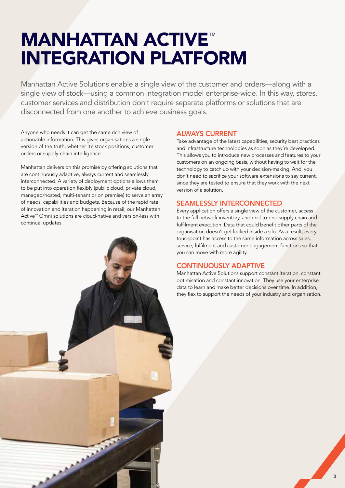## **MANHATTAN ACTIVE™** INTEGRATION PLATFORM

Manhattan Active Solutions enable a single view of the customer and orders—along with a single view of stock—using a common integration model enterprise-wide. In this way, stores, customer services and distribution don't require separate platforms or solutions that are disconnected from one another to achieve business goals.

Anyone who needs it can get the same rich view of actionable information. This gives organisations a single version of the truth, whether it's stock positions, customer orders or supply-chain intelligence.

Manhattan delivers on this promise by offering solutions that are continuously adaptive, always current and seamlessly interconnected. A variety of deployment options allows them to be put into operation flexibly (public cloud, private cloud, managed/hosted, multi-tenant or on premise) to serve an array of needs, capabilities and budgets. Because of the rapid rate of innovation and iteration happening in retail, our Manhattan Active™ Omni solutions are cloud-native and version-less with continual updates.



#### ALWAYS CURRENT

Take advantage of the latest capabilities, security best practices and infrastructure technologies as soon as they're developed. This allows you to introduce new processes and features to your customers on an ongoing basis, without having to wait for the technology to catch up with your decision-making. And, you don't need to sacrifice your software extensions to say current, since they are tested to ensure that they work with the next version of a solution.

#### SEAMLESSLY INTERCONNECTED

Every application offers a single view of the customer, access to the full network inventory, and end-to-end supply chain and fulfilment execution. Data that could benefit other parts of the organisation doesn't get locked inside a silo. As a result, every touchpoint has access to the same information across sales, service, fulfilment and customer engagement functions so that you can move with more agility.

#### CONTINUOUSLY ADAPTIVE

Manhattan Active Solutions support constant iteration, constant optimisation and constant innovation. They use your enterprise data to learn and make better decisions over time. In addition, they flex to support the needs of your industry and organisation.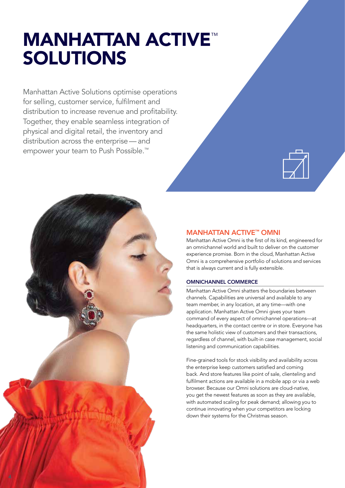# **MANHATTAN ACTIVE™** SOLUTIONS

Manhattan Active Solutions optimise operations for selling, customer service, fulfilment and distribution to increase revenue and profitability. Together, they enable seamless integration of physical and digital retail, the inventory and distribution across the enterprise — and empower your team to Push Possible.™





#### MANHATTAN ACTIVE™ OMNI

Manhattan Active Omni is the first of its kind, engineered for an omnichannel world and built to deliver on the customer experience promise. Born in the cloud, Manhattan Active Omni is a comprehensive portfolio of solutions and services that is always current and is fully extensible.

#### OMNICHANNEL COMMERCE

Manhattan Active Omni shatters the boundaries between channels. Capabilities are universal and available to any team member, in any location, at any time—with one application. Manhattan Active Omni gives your team command of every aspect of omnichannel operations—at headquarters, in the contact centre or in store. Everyone has the same holistic view of customers and their transactions, regardless of channel, with built-in case management, social listening and communication capabilities.

Fine-grained tools for stock visibility and availability across the enterprise keep customers satisfied and coming back. And store features like point of sale, clienteling and fulfilment actions are available in a mobile app or via a web browser. Because our Omni solutions are cloud-native, you get the newest features as soon as they are available, with automated scaling for peak demand; allowing you to continue innovating when your competitors are locking down their systems for the Christmas season.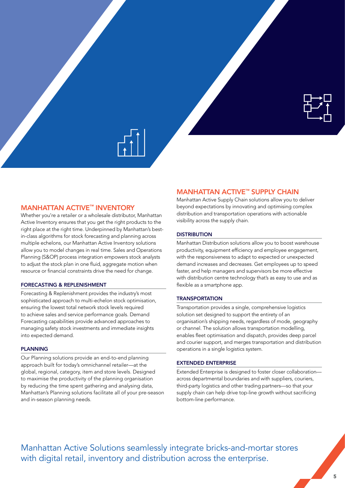

#### MANHATTAN ACTIVE™ INVENTORY

Whether you're a retailer or a wholesale distributor, Manhattan Active Inventory ensures that you get the right products to the right place at the right time. Underpinned by Manhattan's bestin-class algorithms for stock forecasting and planning across multiple echelons, our Manhattan Active Inventory solutions allow you to model changes in real time. Sales and Operations Planning (S&OP) process integration empowers stock analysts to adjust the stock plan in one fluid, aggregate motion when resource or financial constraints drive the need for change.

#### FORECASTING & REPLENISHMENT

Forecasting & Replenishment provides the industry's most sophisticated approach to multi-echelon stock optimisation, ensuring the lowest total network stock levels required to achieve sales and service performance goals. Demand Forecasting capabilities provide advanced approaches to managing safety stock investments and immediate insights into expected demand.

#### PLANNING

Our Planning solutions provide an end-to-end planning approach built for today's omnichannel retailer—at the global, regional, category, item and store levels. Designed to maximise the productivity of the planning organisation by reducing the time spent gathering and analysing data, Manhattan's Planning solutions facilitate all of your pre-season and in-season planning needs.

#### **MANHATTAN ACTIVE™ SUPPLY CHAIN**

Manhattan Active Supply Chain solutions allow you to deliver beyond expectations by innovating and optimising complex distribution and transportation operations with actionable visibility across the supply chain.

#### **DISTRIBUTION**

Manhattan Distribution solutions allow you to boost warehouse productivity, equipment efficiency and employee engagement, with the responsiveness to adapt to expected or unexpected demand increases and decreases. Get employees up to speed faster, and help managers and supervisors be more effective with distribution centre technology that's as easy to use and as flexible as a smartphone app.

#### **TRANSPORTATION**

Transportation provides a single, comprehensive logistics solution set designed to support the entirety of an organisation's shipping needs, regardless of mode, geography or channel. The solution allows transportation modelling, enables fleet optimisation and dispatch, provides deep parcel and courier support, and merges transportation and distribution operations in a single logistics system.

#### EXTENDED ENTERPRISE

Extended Enterprise is designed to foster closer collaboration across departmental boundaries and with suppliers, couriers, third-party logistics and other trading partners—so that your supply chain can help drive top-line growth without sacrificing bottom-line performance.

Manhattan Active Solutions seamlessly integrate bricks-and-mortar stores with digital retail, inventory and distribution across the enterprise.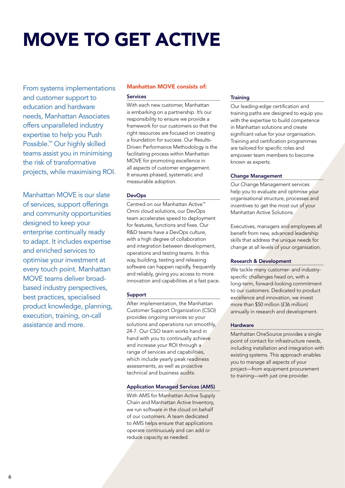# MOVE TO GET ACTIVE

From systems implementations and customer support to education and hardware needs, Manhattan Associates offers unparalleled industry expertise to help you Push Possible.™ Our highly skilled teams assist you in minimising the risk of transformative projects, while maximising ROI.

Manhattan MOVE is our slate of services, support offerings and community opportunities designed to keep your enterprise continually ready to adapt. It includes expertise and enriched services to optimise your investment at every touch point. Manhattan MOVE teams deliver broadbased industry perspectives, best practices, specialised product knowledge, planning, execution, training, on-call assistance and more.

#### Manhattan MOVE consists of:

#### Services

With each new customer, Manhattan is embarking on a partnership. It's our responsibility to ensure we provide a framework for our customers so that the right resources are focused on creating a foundation for success. Our Results-Driven Performance Methodology is the facilitating process within Manhattan MOVE for promoting excellence in all aspects of customer engagement. It ensures phased, systematic and measurable adoption.

#### DevOps

Centred on our Manhattan Active™ Omni cloud solutions, our DevOps team accelerates speed to deployment for features, functions and fixes. Our R&D teams have a DevOps culture, with a high degree of collaboration and integration between development, operations and testing teams. In this way, building, testing and releasing software can happen rapidly, frequently and reliably, giving you access to more innovation and capabilities at a fast pace.

#### Support

After implementation, the Manhattan Customer Support Organization (CSO) provides ongoing services so your solutions and operations run smoothly, 24-7. Our CSO team works hand in hand with you to continually achieve and increase your ROI through a range of services and capabilities, which include yearly peak readiness assessments, as well as proactive technical and business audits.

#### Application Managed Services (AMS)

With AMS for Manhattan Active Supply Chain and Manhattan Active Inventory, we run software in the cloud on behalf of our customers. A team dedicated to AMS helps ensure that applications operate continuously and can add or reduce capacity as needed.

#### **Training**

Our leading-edge certification and training paths are designed to equip you with the expertise to build competence in Manhattan solutions and create significant value for your organisation. Training and certification programmes are tailored for specific roles and empower team members to become known as experts.

#### Change Management

Our Change Management services help you to evaluate and optimise your organisational structure, processes and incentives to get the most out of your Manhattan Active Solutions.

Executives, managers and employees all benefit from new, advanced leadership skills that address the unique needs for change at all levels of your organisation.

#### Research & Development

We tackle many customer- and industryspecific challenges head on, with a long-term, forward-looking commitment to our customers. Dedicated to product excellence and innovation, we invest more than \$50 million (£36 million) annually in research and development.

#### **Hardware**

Manhattan OneSource provides a single point of contact for infrastructure needs, including installation and integration with existing systems. This approach enables you to manage all aspects of your project—from equipment procurement to training—with just one provider.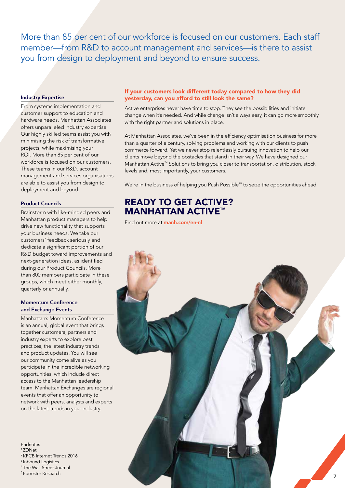More than 85 per cent of our workforce is focused on our customers. Each staff member—from R&D to account management and services—is there to assist you from design to deployment and beyond to ensure success.

#### Industry Expertise

From systems implementation and customer support to education and hardware needs, Manhattan Associates offers unparalleled industry expertise. Our highly skilled teams assist you with minimising the risk of transformative projects, while maximising your ROI. More than 85 per cent of our workforce is focused on our customers. These teams in our R&D, account management and services organisations are able to assist you from design to deployment and beyond.

#### Product Councils

Brainstorm with like-minded peers and Manhattan product managers to help drive new functionality that supports your business needs. We take our customers' feedback seriously and dedicate a significant portion of our R&D budget toward improvements and next-generation ideas, as identified during our Product Councils. More than 800 members participate in these groups, which meet either monthly, quarterly or annually.

#### Momentum Conference and Exchange Events

Manhattan's Momentum Conference is an annual, global event that brings together customers, partners and industry experts to explore best practices, the latest industry trends and product updates. You will see our community come alive as you participate in the incredible networking opportunities, which include direct access to the Manhattan leadership team. Manhattan Exchanges are regional events that offer an opportunity to network with peers, analysts and experts on the latest trends in your industry.

Endnotes <sup>1</sup>ZDNet <sup>2</sup>KPCB Internet Trends 2016 <sup>3</sup> Inbound Logistics <sup>4</sup>The Wall Street Journal 5 Forrester Research

#### If your customers look different today compared to how they did yesterday, can you afford to still look the same?

Active enterprises never have time to stop. They see the possibilities and initiate change when it's needed. And while change isn't always easy, it can go more smoothly with the right partner and solutions in place.

At Manhattan Associates, we've been in the efficiency optimisation business for more than a quarter of a century, solving problems and working with our clients to push commerce forward. Yet we never stop relentlessly pursuing innovation to help our clients move beyond the obstacles that stand in their way. We have designed our Manhattan Active™ Solutions to bring you closer to transportation, distribution, stock levels and, most importantly, your customers.

We're in the business of helping you Push Possible™ to seize the opportunities ahead.

### READY TO GET ACTIVE? MANHATTAN ACTIVE™

Find out more at manh.com/en-nl